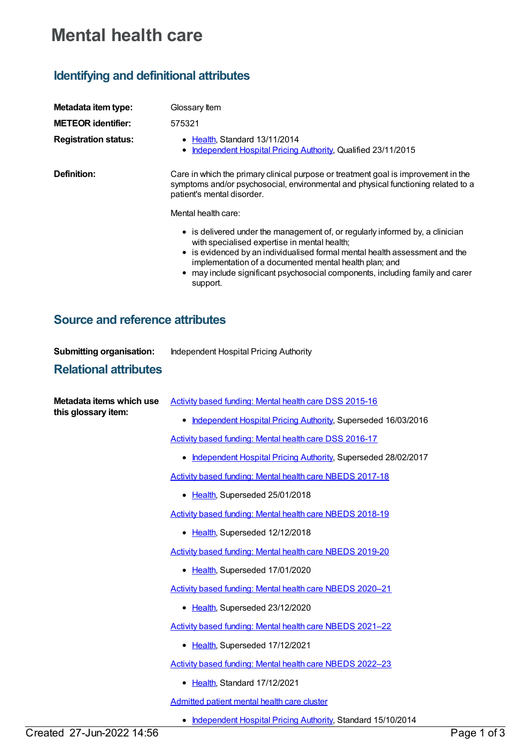## **Mental health care**

## **Identifying and definitional attributes**

| Metadata item type:<br><b>METEOR identifier:</b><br><b>Registration status:</b> | Glossary Item<br>575321<br>Health, Standard 13/11/2014<br>Independent Hospital Pricing Authority, Qualified 23/11/2015                                                                                                                                                                                                                                                                                                                                                                                                                                                                              |
|---------------------------------------------------------------------------------|-----------------------------------------------------------------------------------------------------------------------------------------------------------------------------------------------------------------------------------------------------------------------------------------------------------------------------------------------------------------------------------------------------------------------------------------------------------------------------------------------------------------------------------------------------------------------------------------------------|
| Definition:                                                                     | Care in which the primary clinical purpose or treatment goal is improvement in the<br>symptoms and/or psychosocial, environmental and physical functioning related to a<br>patient's mental disorder.<br>Mental health care:<br>• is delivered under the management of, or regularly informed by, a clinician<br>with specialised expertise in mental health;<br>• is evidenced by an individualised formal mental health assessment and the<br>implementation of a documented mental health plan; and<br>• may include significant psychosocial components, including family and carer<br>support. |

## **Source and reference attributes**

| <b>Submitting organisation:</b>                 | Independent Hospital Pricing Authority                             |
|-------------------------------------------------|--------------------------------------------------------------------|
| <b>Relational attributes</b>                    |                                                                    |
| Metadata items which use<br>this glossary item: | Activity based funding: Mental health care DSS 2015-16             |
|                                                 | Independent Hospital Pricing Authority, Superseded 16/03/2016<br>٠ |
|                                                 | Activity based funding: Mental health care DSS 2016-17             |
|                                                 | Independent Hospital Pricing Authority, Superseded 28/02/2017      |
|                                                 | Activity based funding: Mental health care NBEDS 2017-18           |
|                                                 | • Health, Superseded 25/01/2018                                    |
|                                                 | Activity based funding: Mental health care NBEDS 2018-19           |
|                                                 | • Health, Superseded 12/12/2018                                    |
|                                                 | Activity based funding: Mental health care NBEDS 2019-20           |
|                                                 | • Health, Superseded 17/01/2020                                    |
|                                                 | Activity based funding: Mental health care NBEDS 2020-21           |
|                                                 | • Health, Superseded 23/12/2020                                    |
|                                                 | Activity based funding: Mental health care NBEDS 2021-22           |
|                                                 | • Health, Superseded 17/12/2021                                    |
|                                                 | Activity based funding: Mental health care NBEDS 2022-23           |
|                                                 | Health, Standard 17/12/2021                                        |
|                                                 | Admitted patient mental health care cluster                        |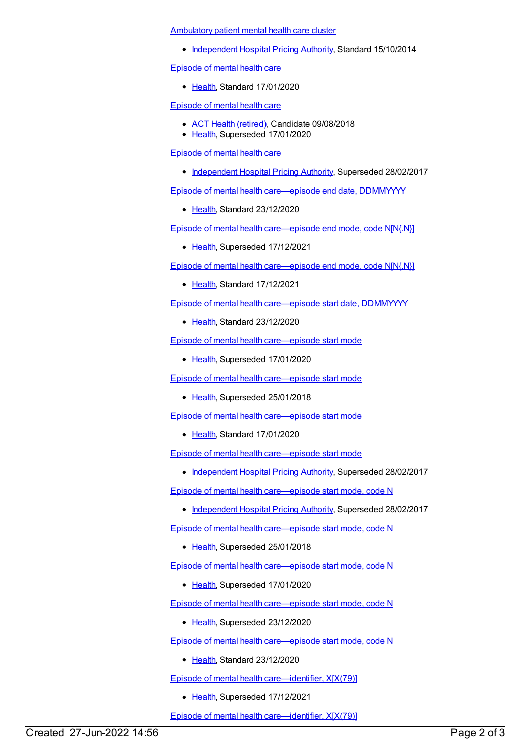[Ambulatory](https://meteor.aihw.gov.au/content/575033) patient mental health care cluster

• [Independent](https://meteor.aihw.gov.au/RegistrationAuthority/3) Hospital Pricing Authority, Standard 15/10/2014

[Episode](https://meteor.aihw.gov.au/content/722722) of mental health care

Ealth, Standard 17/01/2020

[Episode](https://meteor.aihw.gov.au/content/653674) of mental health care

- ACT Health [\(retired\)](https://meteor.aihw.gov.au/RegistrationAuthority/9), Candidate 09/08/2018
- [Health](https://meteor.aihw.gov.au/RegistrationAuthority/12), Superseded 17/01/2020

[Episode](https://meteor.aihw.gov.au/content/617304) of mental health care

• [Independent](https://meteor.aihw.gov.au/RegistrationAuthority/3) Hospital Pricing Authority, Superseded 28/02/2017

Episode of mental health [care—episode](https://meteor.aihw.gov.au/content/730859) end date, DDMMYYYY

• [Health](https://meteor.aihw.gov.au/RegistrationAuthority/12), Standard 23/12/2020

Episode of mental health [care—episode](https://meteor.aihw.gov.au/content/730802) end mode, code N[N{.N}]

• [Health](https://meteor.aihw.gov.au/RegistrationAuthority/12), Superseded 17/12/2021

Episode of mental health [care—episode](https://meteor.aihw.gov.au/content/745660) end mode, code N[N{.N}]

• [Health](https://meteor.aihw.gov.au/RegistrationAuthority/12), Standard 17/12/2021

Episode of mental health [care—episode](https://meteor.aihw.gov.au/content/730809) start date, DDMMYYYY

• [Health](https://meteor.aihw.gov.au/RegistrationAuthority/12), Standard 23/12/2020

Episode of mental health [care—episode](https://meteor.aihw.gov.au/content/680927) start mode

• [Health](https://meteor.aihw.gov.au/RegistrationAuthority/12), Superseded 17/01/2020

Episode of mental health [care—episode](https://meteor.aihw.gov.au/content/654197) start mode

• [Health](https://meteor.aihw.gov.au/RegistrationAuthority/12), Superseded 25/01/2018

Episode of mental health [care—episode](https://meteor.aihw.gov.au/content/723147) start mode

• [Health](https://meteor.aihw.gov.au/RegistrationAuthority/12), Standard 17/01/2020

Episode of mental health [care—episode](https://meteor.aihw.gov.au/content/614130) start mode

• [Independent](https://meteor.aihw.gov.au/RegistrationAuthority/3) Hospital Pricing Authority, Superseded 28/02/2017

Episode of mental health [care—episode](https://meteor.aihw.gov.au/content/614134) start mode, code N

• [Independent](https://meteor.aihw.gov.au/RegistrationAuthority/3) Hospital Pricing Authority, Superseded 28/02/2017

Episode of mental health [care—episode](https://meteor.aihw.gov.au/content/654194) start mode, code N

• [Health](https://meteor.aihw.gov.au/RegistrationAuthority/12), Superseded 25/01/2018

Episode of mental health [care—episode](https://meteor.aihw.gov.au/content/676148) start mode, code N

• [Health](https://meteor.aihw.gov.au/RegistrationAuthority/12), Superseded 17/01/2020

Episode of mental health [care—episode](https://meteor.aihw.gov.au/content/723150) start mode, code N

• [Health](https://meteor.aihw.gov.au/RegistrationAuthority/12), Superseded 23/12/2020

Episode of mental health [care—episode](https://meteor.aihw.gov.au/content/730813) start mode, code N

• [Health](https://meteor.aihw.gov.au/RegistrationAuthority/12), Standard 23/12/2020

Episode of mental health [care—identifier,](https://meteor.aihw.gov.au/content/730816) X[X(79)]

• [Health](https://meteor.aihw.gov.au/RegistrationAuthority/12), Superseded 17/12/2021

Episode of mental health [care—identifier,](https://meteor.aihw.gov.au/content/751899) X[X(79)]